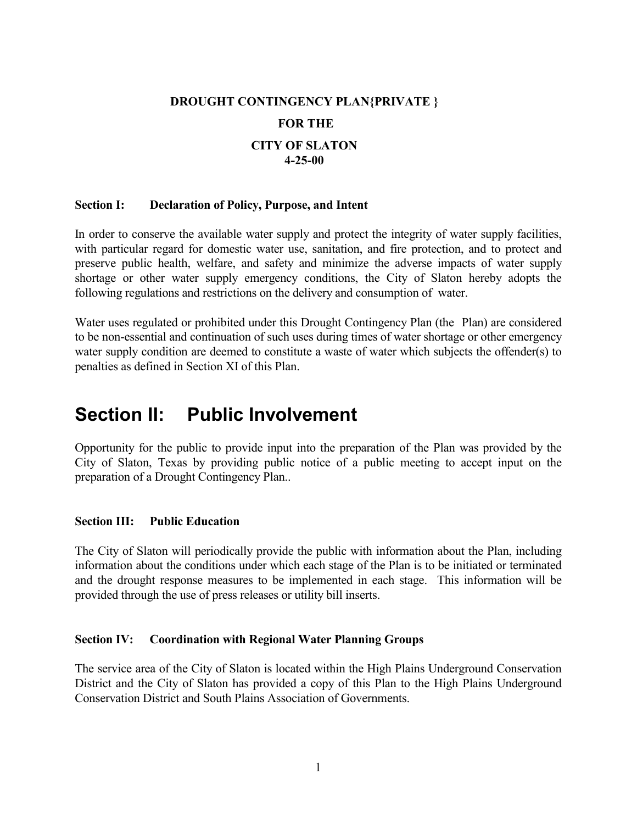# DROUGHT CONTINGENCY PLAN{PRIVATE }

## FOR THE

# CITY OF SLATO 4-25-00

#### Section I: Declaration of Policy, Purpose, and Intent

In order to conserve the available water supply and protect the integrity of water supply facilities, with particular regard for domestic water use, sanitation, and fire protection, and to protect and preserve public health, welfare, and safety and minimize the adverse impacts of water supply shortage or other water supply emergency conditions, the City of Slaton hereby adopts the following regulations and restrictions on the delivery and consumption of water.

Water uses regulated or prohibited under this Drought Contingency Plan (the Plan) are considered to be non-essential and continuation of such uses during times of water shortage or other emergency water supply condition are deemed to constitute a waste of water which subjects the offender(s) to penalties as defined in Section XI of this Plan.

# Section II: Public Involvement

Opportunity for the public to provide input into the preparation of the Plan was provided by the City of Slaton, Texas by providing public notice of a public meeting to accept input on the preparation of a Drought Contingency Plan..

## Section III: Public Education

The City of Slaton will periodically provide the public with information about the Plan, including information about the conditions under which each stage of the Plan is to be initiated or terminated and the drought response measures to be implemented in each stage. This information will be provided through the use of press releases or utility bill inserts.

#### Section IV: Coordination with Regional Water Planning Groups

The service area of the City of Slaton is located within the High Plains Underground Conservation District and the City of Slaton has provided a copy of this Plan to the High Plains Underground Conservation District and South Plains Association of Governments.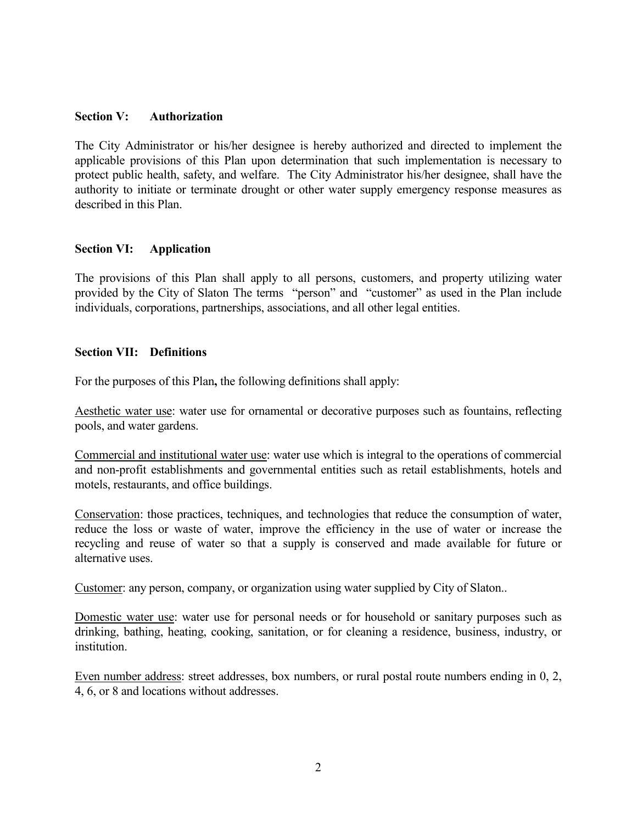#### Section V: Authorization

The City Administrator or his/her designee is hereby authorized and directed to implement the applicable provisions of this Plan upon determination that such implementation is necessary to protect public health, safety, and welfare. The City Administrator his/her designee, shall have the authority to initiate or terminate drought or other water supply emergency response measures as described in this Plan.

## Section VI: Application

The provisions of this Plan shall apply to all persons, customers, and property utilizing water provided by the City of Slaton The terms "person" and "customer" as used in the Plan include individuals, corporations, partnerships, associations, and all other legal entities.

#### Section VII: Definitions

For the purposes of this Plan, the following definitions shall apply:

Aesthetic water use: water use for ornamental or decorative purposes such as fountains, reflecting pools, and water gardens.

Commercial and institutional water use: water use which is integral to the operations of commercial and non-profit establishments and governmental entities such as retail establishments, hotels and motels, restaurants, and office buildings.

Conservation: those practices, techniques, and technologies that reduce the consumption of water, reduce the loss or waste of water, improve the efficiency in the use of water or increase the recycling and reuse of water so that a supply is conserved and made available for future or alternative uses.

Customer: any person, company, or organization using water supplied by City of Slaton..

Domestic water use: water use for personal needs or for household or sanitary purposes such as drinking, bathing, heating, cooking, sanitation, or for cleaning a residence, business, industry, or institution.

Even number address: street addresses, box numbers, or rural postal route numbers ending in 0, 2, 4, 6, or 8 and locations without addresses.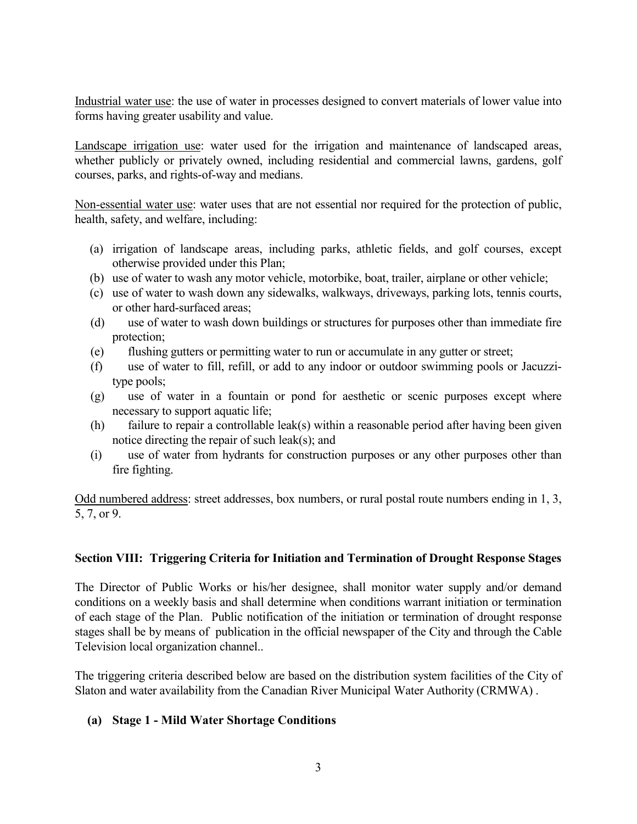Industrial water use: the use of water in processes designed to convert materials of lower value into forms having greater usability and value.

Landscape irrigation use: water used for the irrigation and maintenance of landscaped areas, whether publicly or privately owned, including residential and commercial lawns, gardens, golf courses, parks, and rights-of-way and medians.

Non-essential water use: water uses that are not essential nor required for the protection of public, health, safety, and welfare, including:

- (a) irrigation of landscape areas, including parks, athletic fields, and golf courses, except otherwise provided under this Plan;
- (b) use of water to wash any motor vehicle, motorbike, boat, trailer, airplane or other vehicle;
- (c) use of water to wash down any sidewalks, walkways, driveways, parking lots, tennis courts, or other hard-surfaced areas;
- (d) use of water to wash down buildings or structures for purposes other than immediate fire protection;
- (e) flushing gutters or permitting water to run or accumulate in any gutter or street;
- (f) use of water to fill, refill, or add to any indoor or outdoor swimming pools or Jacuzzitype pools;
- (g) use of water in a fountain or pond for aesthetic or scenic purposes except where necessary to support aquatic life;
- (h) failure to repair a controllable leak(s) within a reasonable period after having been given notice directing the repair of such leak(s); and
- (i) use of water from hydrants for construction purposes or any other purposes other than fire fighting.

Odd numbered address: street addresses, box numbers, or rural postal route numbers ending in 1, 3, 5, 7, or 9.

## Section VIII: Triggering Criteria for Initiation and Termination of Drought Response Stages

The Director of Public Works or his/her designee, shall monitor water supply and/or demand conditions on a weekly basis and shall determine when conditions warrant initiation or termination of each stage of the Plan. Public notification of the initiation or termination of drought response stages shall be by means of publication in the official newspaper of the City and through the Cable Television local organization channel..

The triggering criteria described below are based on the distribution system facilities of the City of Slaton and water availability from the Canadian River Municipal Water Authority (CRMWA) .

## (a) Stage 1 - Mild Water Shortage Conditions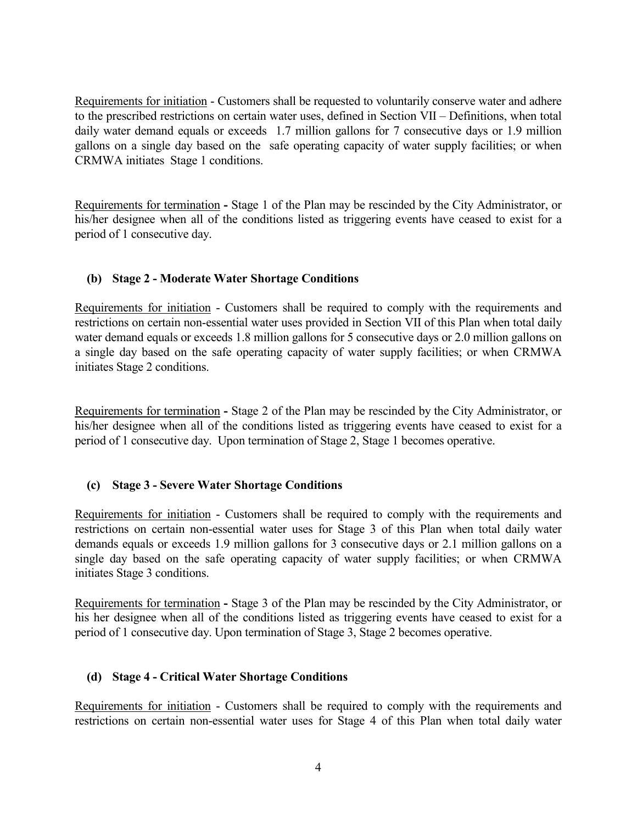Requirements for initiation - Customers shall be requested to voluntarily conserve water and adhere to the prescribed restrictions on certain water uses, defined in Section VII – Definitions, when total daily water demand equals or exceeds 1.7 million gallons for 7 consecutive days or 1.9 million gallons on a single day based on the safe operating capacity of water supply facilities; or when CRMWA initiates Stage 1 conditions.

Requirements for termination - Stage 1 of the Plan may be rescinded by the City Administrator, or his/her designee when all of the conditions listed as triggering events have ceased to exist for a period of 1 consecutive day.

# (b) Stage 2 - Moderate Water Shortage Conditions

Requirements for initiation - Customers shall be required to comply with the requirements and restrictions on certain non-essential water uses provided in Section VII of this Plan when total daily water demand equals or exceeds 1.8 million gallons for 5 consecutive days or 2.0 million gallons on a single day based on the safe operating capacity of water supply facilities; or when CRMWA initiates Stage 2 conditions.

Requirements for termination - Stage 2 of the Plan may be rescinded by the City Administrator, or his/her designee when all of the conditions listed as triggering events have ceased to exist for a period of 1 consecutive day. Upon termination of Stage 2, Stage 1 becomes operative.

# (c) Stage 3 - Severe Water Shortage Conditions

Requirements for initiation - Customers shall be required to comply with the requirements and restrictions on certain non-essential water uses for Stage 3 of this Plan when total daily water demands equals or exceeds 1.9 million gallons for 3 consecutive days or 2.1 million gallons on a single day based on the safe operating capacity of water supply facilities; or when CRMWA initiates Stage 3 conditions.

Requirements for termination - Stage 3 of the Plan may be rescinded by the City Administrator, or his her designee when all of the conditions listed as triggering events have ceased to exist for a period of 1 consecutive day. Upon termination of Stage 3, Stage 2 becomes operative.

# (d) Stage 4 - Critical Water Shortage Conditions

Requirements for initiation - Customers shall be required to comply with the requirements and restrictions on certain non-essential water uses for Stage 4 of this Plan when total daily water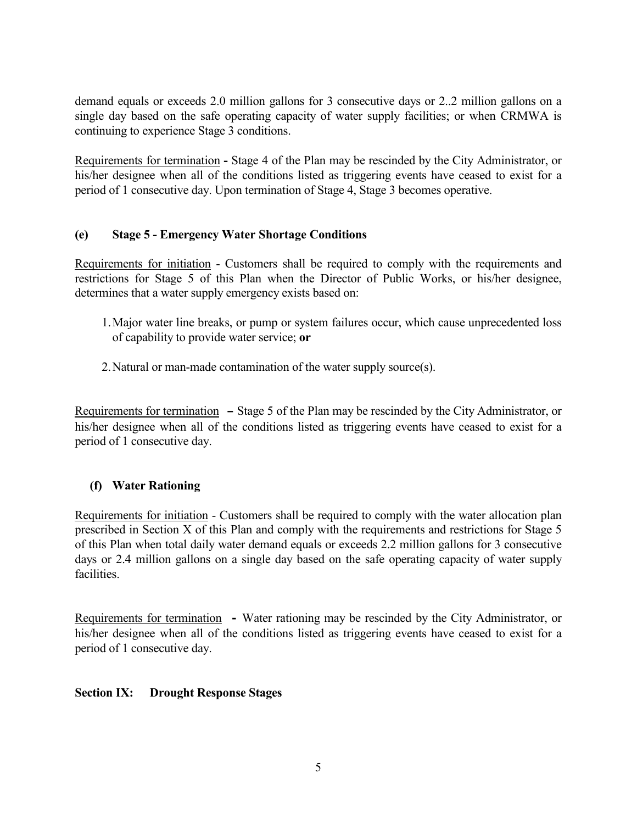demand equals or exceeds 2.0 million gallons for 3 consecutive days or 2..2 million gallons on a single day based on the safe operating capacity of water supply facilities; or when CRMWA is continuing to experience Stage 3 conditions.

Requirements for termination - Stage 4 of the Plan may be rescinded by the City Administrator, or his/her designee when all of the conditions listed as triggering events have ceased to exist for a period of 1 consecutive day. Upon termination of Stage 4, Stage 3 becomes operative.

# (e) Stage 5 - Emergency Water Shortage Conditions

Requirements for initiation - Customers shall be required to comply with the requirements and restrictions for Stage 5 of this Plan when the Director of Public Works, or his/her designee, determines that a water supply emergency exists based on:

- 1. Major water line breaks, or pump or system failures occur, which cause unprecedented loss of capability to provide water service; or
- 2. Natural or man-made contamination of the water supply source(s).

Requirements for termination **–** Stage 5 of the Plan may be rescinded by the City Administrator, or his/her designee when all of the conditions listed as triggering events have ceased to exist for a period of 1 consecutive day.

# (f) Water Rationing

Requirements for initiation - Customers shall be required to comply with the water allocation plan prescribed in Section X of this Plan and comply with the requirements and restrictions for Stage 5 of this Plan when total daily water demand equals or exceeds 2.2 million gallons for 3 consecutive days or 2.4 million gallons on a single day based on the safe operating capacity of water supply facilities.

Requirements for termination **-** Water rationing may be rescinded by the City Administrator, or his/her designee when all of the conditions listed as triggering events have ceased to exist for a period of 1 consecutive day.

# Section IX: Drought Response Stages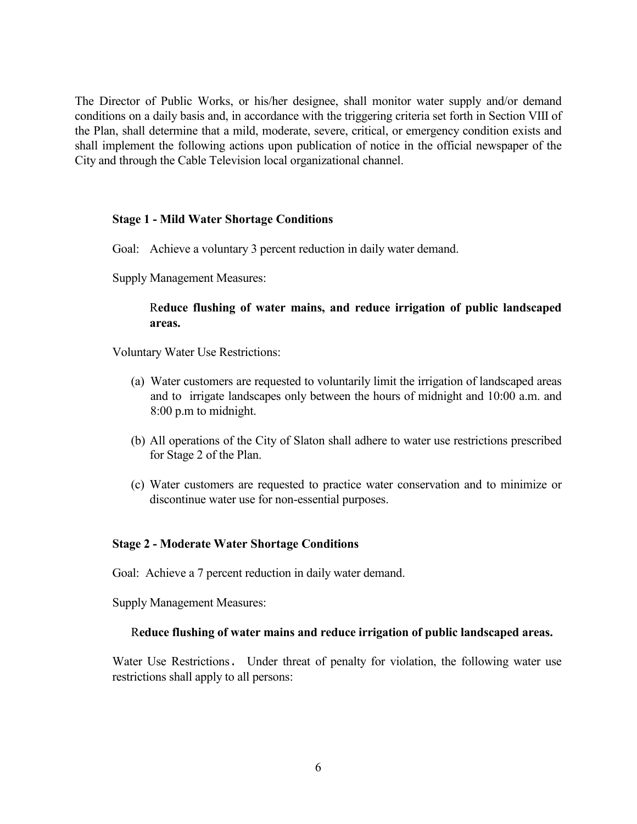The Director of Public Works, or his/her designee, shall monitor water supply and/or demand conditions on a daily basis and, in accordance with the triggering criteria set forth in Section VIII of the Plan, shall determine that a mild, moderate, severe, critical, or emergency condition exists and shall implement the following actions upon publication of notice in the official newspaper of the City and through the Cable Television local organizational channel.

## Stage 1 - Mild Water Shortage Conditions

- Goal: Achieve a voluntary 3 percent reduction in daily water demand.
- Supply Management Measures:

## Reduce flushing of water mains, and reduce irrigation of public landscaped areas.

Voluntary Water Use Restrictions:

- (a) Water customers are requested to voluntarily limit the irrigation of landscaped areas and to irrigate landscapes only between the hours of midnight and 10:00 a.m. and 8:00 p.m to midnight.
- (b) All operations of the City of Slaton shall adhere to water use restrictions prescribed for Stage 2 of the Plan.
- (c) Water customers are requested to practice water conservation and to minimize or discontinue water use for non-essential purposes.

#### Stage 2 - Moderate Water Shortage Conditions

Goal: Achieve a 7 percent reduction in daily water demand.

Supply Management Measures:

#### Reduce flushing of water mains and reduce irrigation of public landscaped areas.

 Water Use Restrictions. Under threat of penalty for violation, the following water use restrictions shall apply to all persons: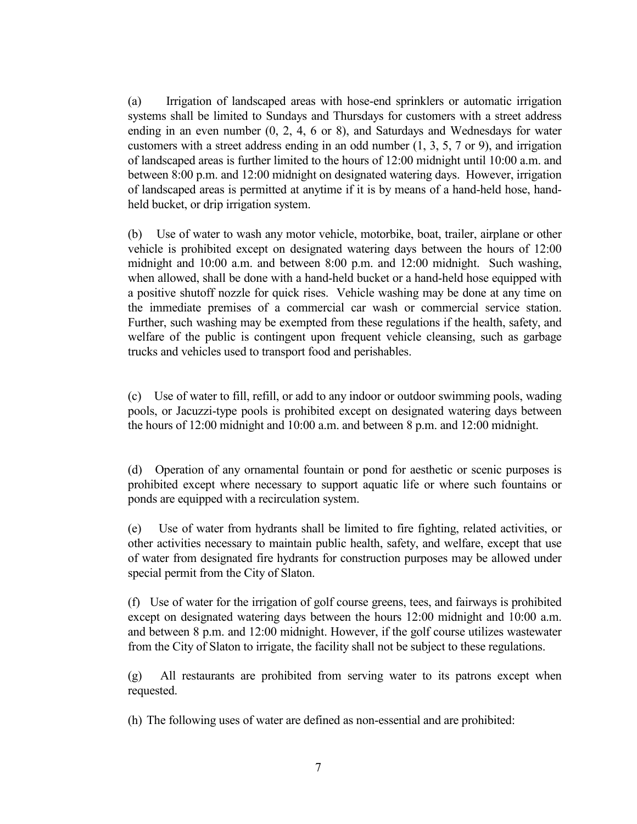(a) Irrigation of landscaped areas with hose-end sprinklers or automatic irrigation systems shall be limited to Sundays and Thursdays for customers with a street address ending in an even number (0, 2, 4, 6 or 8), and Saturdays and Wednesdays for water customers with a street address ending in an odd number (1, 3, 5, 7 or 9), and irrigation of landscaped areas is further limited to the hours of 12:00 midnight until 10:00 a.m. and between 8:00 p.m. and 12:00 midnight on designated watering days. However, irrigation of landscaped areas is permitted at anytime if it is by means of a hand-held hose, handheld bucket, or drip irrigation system.

(b) Use of water to wash any motor vehicle, motorbike, boat, trailer, airplane or other vehicle is prohibited except on designated watering days between the hours of 12:00 midnight and 10:00 a.m. and between 8:00 p.m. and 12:00 midnight. Such washing, when allowed, shall be done with a hand-held bucket or a hand-held hose equipped with a positive shutoff nozzle for quick rises. Vehicle washing may be done at any time on the immediate premises of a commercial car wash or commercial service station. Further, such washing may be exempted from these regulations if the health, safety, and welfare of the public is contingent upon frequent vehicle cleansing, such as garbage trucks and vehicles used to transport food and perishables.

(c) Use of water to fill, refill, or add to any indoor or outdoor swimming pools, wading pools, or Jacuzzi-type pools is prohibited except on designated watering days between the hours of 12:00 midnight and 10:00 a.m. and between 8 p.m. and 12:00 midnight.

(d) Operation of any ornamental fountain or pond for aesthetic or scenic purposes is prohibited except where necessary to support aquatic life or where such fountains or ponds are equipped with a recirculation system.

(e) Use of water from hydrants shall be limited to fire fighting, related activities, or other activities necessary to maintain public health, safety, and welfare, except that use of water from designated fire hydrants for construction purposes may be allowed under special permit from the City of Slaton.

(f) Use of water for the irrigation of golf course greens, tees, and fairways is prohibited except on designated watering days between the hours 12:00 midnight and 10:00 a.m. and between 8 p.m. and 12:00 midnight. However, if the golf course utilizes wastewater from the City of Slaton to irrigate, the facility shall not be subject to these regulations.

(g) All restaurants are prohibited from serving water to its patrons except when requested.

(h) The following uses of water are defined as non-essential and are prohibited: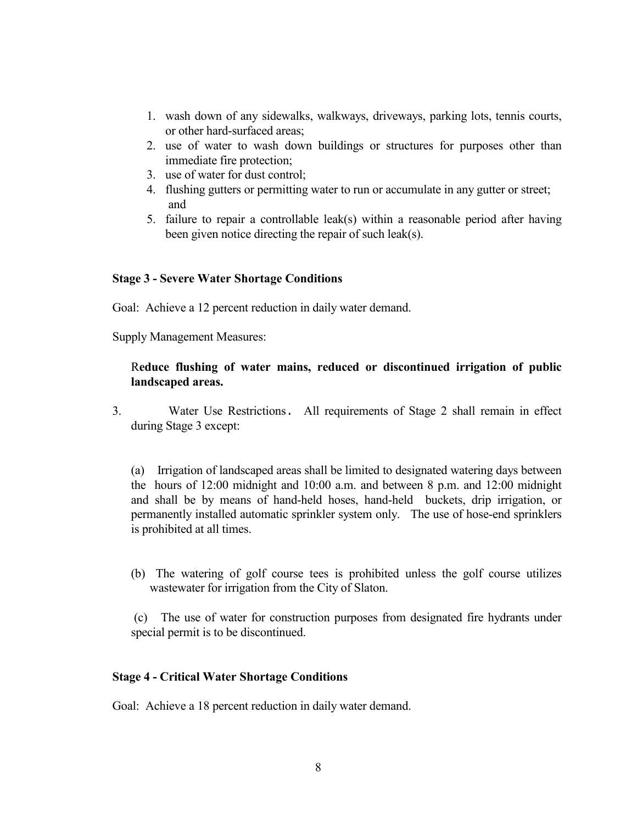- 1. wash down of any sidewalks, walkways, driveways, parking lots, tennis courts, or other hard-surfaced areas;
- 2. use of water to wash down buildings or structures for purposes other than immediate fire protection;
- 3. use of water for dust control;
- 4. flushing gutters or permitting water to run or accumulate in any gutter or street; and
- 5. failure to repair a controllable leak(s) within a reasonable period after having been given notice directing the repair of such leak(s).

## Stage 3 - Severe Water Shortage Conditions

Goal: Achieve a 12 percent reduction in daily water demand.

Supply Management Measures:

# Reduce flushing of water mains, reduced or discontinued irrigation of public landscaped areas.

3. Water Use Restrictions. All requirements of Stage 2 shall remain in effect during Stage 3 except:

(a) Irrigation of landscaped areas shall be limited to designated watering days between the hours of 12:00 midnight and 10:00 a.m. and between 8 p.m. and 12:00 midnight and shall be by means of hand-held hoses, hand-held buckets, drip irrigation, or permanently installed automatic sprinkler system only. The use of hose-end sprinklers is prohibited at all times.

(b) The watering of golf course tees is prohibited unless the golf course utilizes wastewater for irrigation from the City of Slaton.

 (c) The use of water for construction purposes from designated fire hydrants under special permit is to be discontinued.

## Stage 4 - Critical Water Shortage Conditions

Goal: Achieve a 18 percent reduction in daily water demand.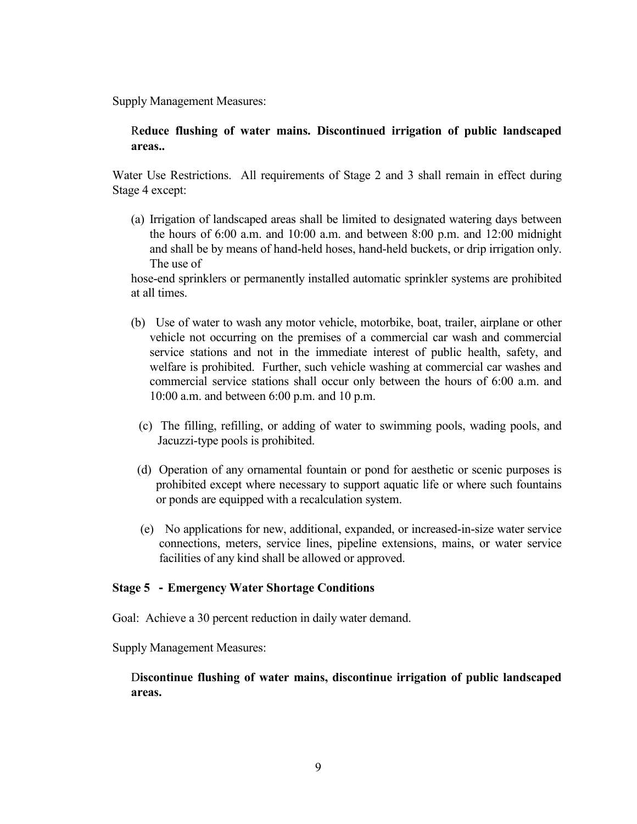Supply Management Measures:

# Reduce flushing of water mains. Discontinued irrigation of public landscaped areas..

Water Use Restrictions. All requirements of Stage 2 and 3 shall remain in effect during Stage 4 except:

(a) Irrigation of landscaped areas shall be limited to designated watering days between the hours of 6:00 a.m. and 10:00 a.m. and between 8:00 p.m. and 12:00 midnight and shall be by means of hand-held hoses, hand-held buckets, or drip irrigation only. The use of

hose-end sprinklers or permanently installed automatic sprinkler systems are prohibited at all times.

- (b) Use of water to wash any motor vehicle, motorbike, boat, trailer, airplane or other vehicle not occurring on the premises of a commercial car wash and commercial service stations and not in the immediate interest of public health, safety, and welfare is prohibited. Further, such vehicle washing at commercial car washes and commercial service stations shall occur only between the hours of 6:00 a.m. and 10:00 a.m. and between 6:00 p.m. and 10 p.m.
	- (c) The filling, refilling, or adding of water to swimming pools, wading pools, and Jacuzzi-type pools is prohibited.
- (d) Operation of any ornamental fountain or pond for aesthetic or scenic purposes is prohibited except where necessary to support aquatic life or where such fountains or ponds are equipped with a recalculation system.
- (e) No applications for new, additional, expanded, or increased-in-size water service connections, meters, service lines, pipeline extensions, mains, or water service facilities of any kind shall be allowed or approved.

## Stage 5 **-** Emergency Water Shortage Conditions

Goal: Achieve a 30 percent reduction in daily water demand.

Supply Management Measures:

## Discontinue flushing of water mains, discontinue irrigation of public landscaped areas.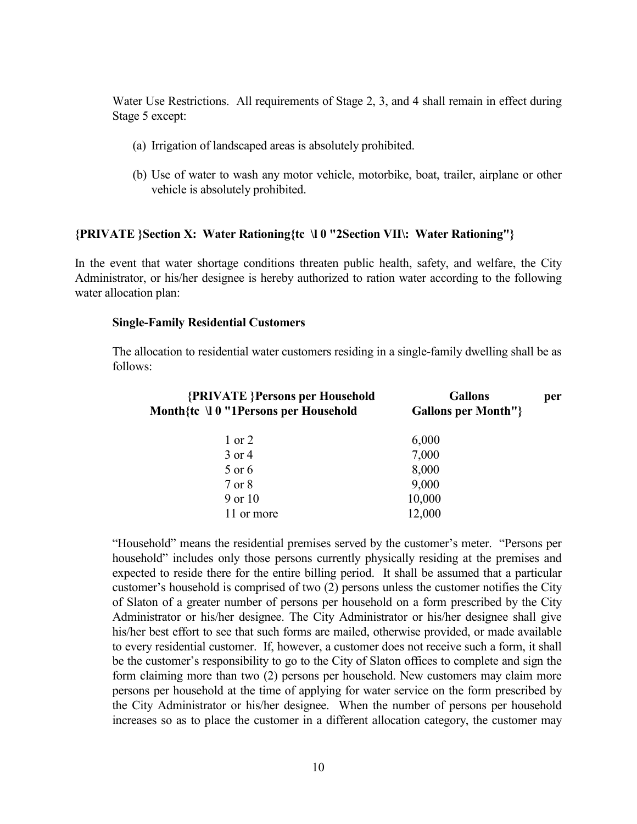Water Use Restrictions. All requirements of Stage 2, 3, and 4 shall remain in effect during Stage 5 except:

- (a) Irrigation of landscaped areas is absolutely prohibited.
- (b) Use of water to wash any motor vehicle, motorbike, boat, trailer, airplane or other vehicle is absolutely prohibited.

#### {PRIVATE }Section X: Water Rationing{tc \l 0 "2Section VII\: Water Rationing"}

In the event that water shortage conditions threaten public health, safety, and welfare, the City Administrator, or his/her designee is hereby authorized to ration water according to the following water allocation plan:

#### Single-Family Residential Customers

The allocation to residential water customers residing in a single-family dwelling shall be as follows:

| <b>{PRIVATE}</b> Persons per Household<br>Month{te \l 0 "1Persons per Household | <b>Gallons</b><br><b>Gallons per Month"</b> } | per |
|---------------------------------------------------------------------------------|-----------------------------------------------|-----|
| $1$ or $2$                                                                      | 6,000                                         |     |
| 3 or 4                                                                          | 7,000                                         |     |
| 5 or 6                                                                          | 8,000                                         |     |
| 7 or 8                                                                          | 9,000                                         |     |
| 9 or 10                                                                         | 10,000                                        |     |
| 11 or more                                                                      | 12,000                                        |     |
|                                                                                 |                                               |     |

"Household" means the residential premises served by the customer's meter. "Persons per household" includes only those persons currently physically residing at the premises and expected to reside there for the entire billing period. It shall be assumed that a particular customer's household is comprised of two (2) persons unless the customer notifies the City of Slaton of a greater number of persons per household on a form prescribed by the City Administrator or his/her designee. The City Administrator or his/her designee shall give his/her best effort to see that such forms are mailed, otherwise provided, or made available to every residential customer. If, however, a customer does not receive such a form, it shall be the customer's responsibility to go to the City of Slaton offices to complete and sign the form claiming more than two (2) persons per household. New customers may claim more persons per household at the time of applying for water service on the form prescribed by the City Administrator or his/her designee. When the number of persons per household increases so as to place the customer in a different allocation category, the customer may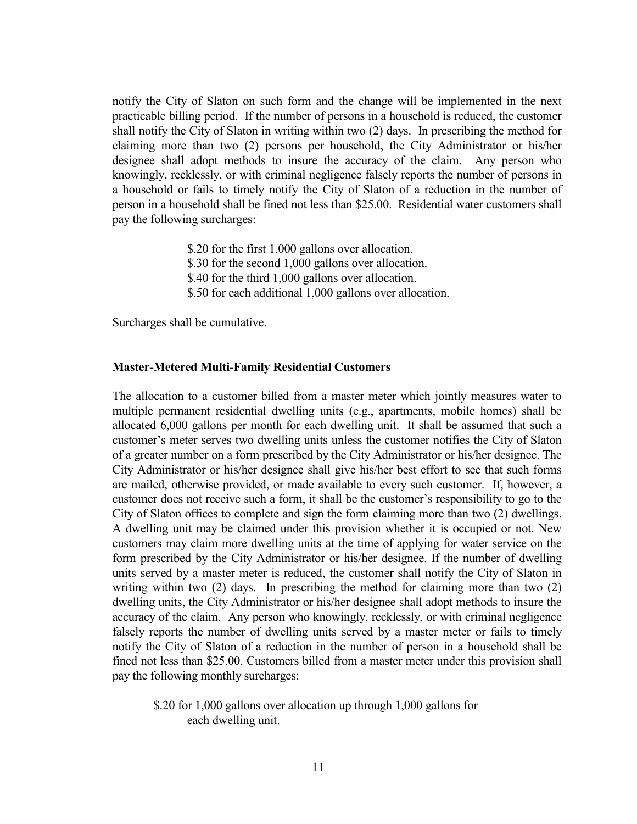notify the City of Slaton on such form and the change will be implemented in the next practicable billing period. If the number of persons in a household is reduced, the customer shall notify the City of Slaton in writing within two (2) days. In prescribing the method for claiming more than two (2) persons per household, the City Administrator or his/her designee shall adopt methods to insure the accuracy of the claim. Any person who knowingly, recklessly, or with criminal negligence falsely reports the number of persons in a household or fails to timely notify the City of Slaton of a reduction in the number of person in a household shall be fined not less than \$25.00. Residential water customers shall pay the following surcharges:

- \$.20 for the first 1,000 gallons over allocation.
- \$.30 for the second 1,000 gallons over allocation.
- \$.40 for the third 1,000 gallons over allocation.
- \$.50 for each additional 1,000 gallons over allocation.

Surcharges shall be cumulative.

#### Master-Metered Multi-Family Residential Customers

The allocation to a customer billed from a master meter which jointly measures water to multiple permanent residential dwelling units (e.g., apartments, mobile homes) shall be allocated 6,000 gallons per month for each dwelling unit. It shall be assumed that such a customer's meter serves two dwelling units unless the customer notifies the City of Slaton of a greater number on a form prescribed by the City Administrator or his/her designee. The City Administrator or his/her designee shall give his/her best effort to see that such forms are mailed, otherwise provided, or made available to every such customer. If, however, a customer does not receive such a form, it shall be the customer's responsibility to go to the City of Slaton offices to complete and sign the form claiming more than two (2) dwellings. A dwelling unit may be claimed under this provision whether it is occupied or not. New customers may claim more dwelling units at the time of applying for water service on the form prescribed by the City Administrator or his/her designee. If the number of dwelling units served by a master meter is reduced, the customer shall notify the City of Slaton in writing within two (2) days. In prescribing the method for claiming more than two (2) dwelling units, the City Administrator or his/her designee shall adopt methods to insure the accuracy of the claim. Any person who knowingly, recklessly, or with criminal negligence falsely reports the number of dwelling units served by a master meter or fails to timely notify the City of Slaton of a reduction in the number of person in a household shall be fined not less than \$25.00. Customers billed from a master meter under this provision shall pay the following monthly surcharges:

#### \$.20 for 1,000 gallons over allocation up through 1,000 gallons for each dwelling unit.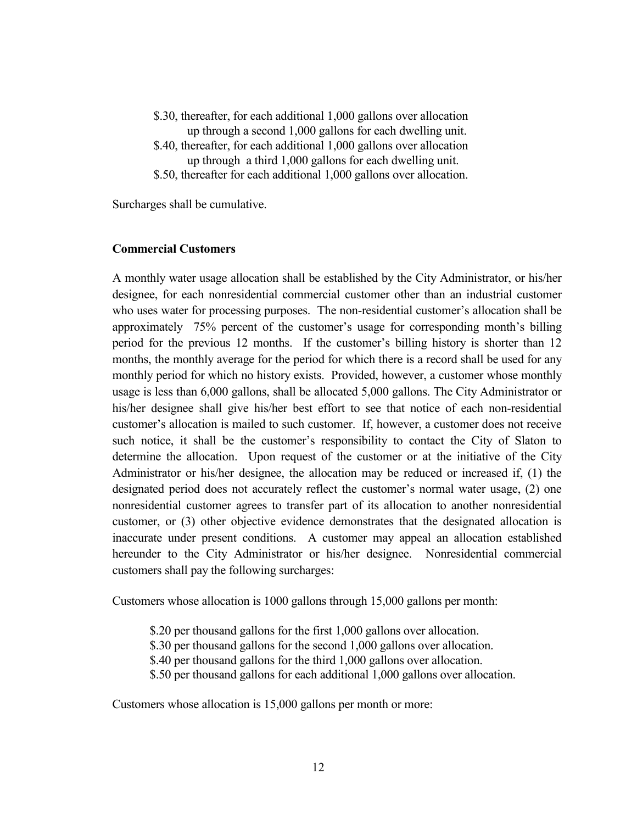- \$.30, thereafter, for each additional 1,000 gallons over allocation up through a second 1,000 gallons for each dwelling unit.
- \$.40, thereafter, for each additional 1,000 gallons over allocation up through a third 1,000 gallons for each dwelling unit.
- \$.50, thereafter for each additional 1,000 gallons over allocation.

Surcharges shall be cumulative.

#### Commercial Customers

A monthly water usage allocation shall be established by the City Administrator, or his/her designee, for each nonresidential commercial customer other than an industrial customer who uses water for processing purposes. The non-residential customer's allocation shall be approximately 75% percent of the customer's usage for corresponding month's billing period for the previous 12 months. If the customer's billing history is shorter than 12 months, the monthly average for the period for which there is a record shall be used for any monthly period for which no history exists. Provided, however, a customer whose monthly usage is less than 6,000 gallons, shall be allocated 5,000 gallons. The City Administrator or his/her designee shall give his/her best effort to see that notice of each non-residential customer's allocation is mailed to such customer. If, however, a customer does not receive such notice, it shall be the customer's responsibility to contact the City of Slaton to determine the allocation. Upon request of the customer or at the initiative of the City Administrator or his/her designee, the allocation may be reduced or increased if, (1) the designated period does not accurately reflect the customer's normal water usage, (2) one nonresidential customer agrees to transfer part of its allocation to another nonresidential customer, or (3) other objective evidence demonstrates that the designated allocation is inaccurate under present conditions. A customer may appeal an allocation established hereunder to the City Administrator or his/her designee. Nonresidential commercial customers shall pay the following surcharges:

Customers whose allocation is 1000 gallons through 15,000 gallons per month:

- \$.20 per thousand gallons for the first 1,000 gallons over allocation.
- \$.30 per thousand gallons for the second 1,000 gallons over allocation.
- \$.40 per thousand gallons for the third 1,000 gallons over allocation.
- \$.50 per thousand gallons for each additional 1,000 gallons over allocation.

Customers whose allocation is 15,000 gallons per month or more: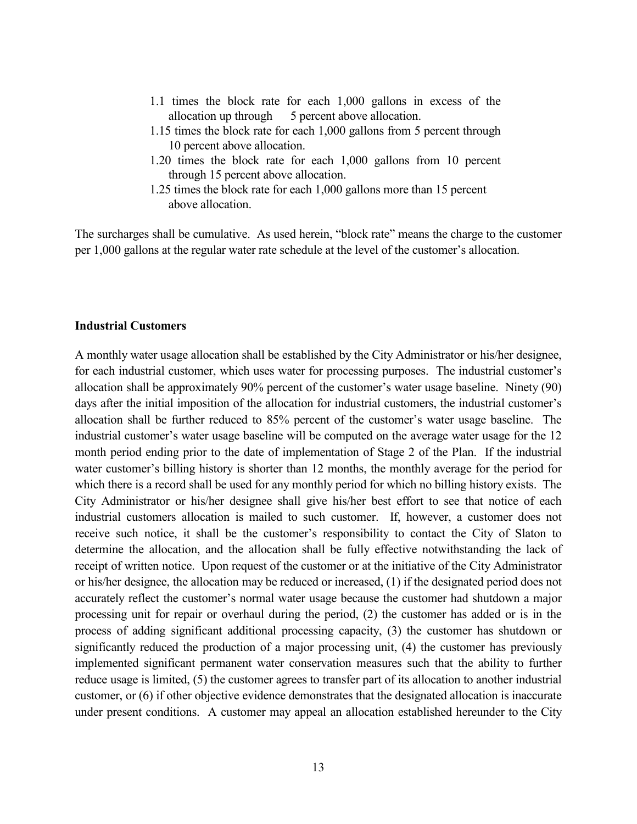- 1.1 times the block rate for each 1,000 gallons in excess of the allocation up through 5 percent above allocation.
- 1.15 times the block rate for each 1,000 gallons from 5 percent through 10 percent above allocation.
- 1.20 times the block rate for each 1,000 gallons from 10 percent through 15 percent above allocation.
- 1.25 times the block rate for each 1,000 gallons more than 15 percent above allocation.

The surcharges shall be cumulative. As used herein, "block rate" means the charge to the customer per 1,000 gallons at the regular water rate schedule at the level of the customer's allocation.

#### Industrial Customers

A monthly water usage allocation shall be established by the City Administrator or his/her designee, for each industrial customer, which uses water for processing purposes. The industrial customer's allocation shall be approximately 90% percent of the customer's water usage baseline. Ninety (90) days after the initial imposition of the allocation for industrial customers, the industrial customer's allocation shall be further reduced to 85% percent of the customer's water usage baseline. The industrial customer's water usage baseline will be computed on the average water usage for the 12 month period ending prior to the date of implementation of Stage 2 of the Plan. If the industrial water customer's billing history is shorter than 12 months, the monthly average for the period for which there is a record shall be used for any monthly period for which no billing history exists. The City Administrator or his/her designee shall give his/her best effort to see that notice of each industrial customers allocation is mailed to such customer. If, however, a customer does not receive such notice, it shall be the customer's responsibility to contact the City of Slaton to determine the allocation, and the allocation shall be fully effective notwithstanding the lack of receipt of written notice. Upon request of the customer or at the initiative of the City Administrator or his/her designee, the allocation may be reduced or increased, (1) if the designated period does not accurately reflect the customer's normal water usage because the customer had shutdown a major processing unit for repair or overhaul during the period, (2) the customer has added or is in the process of adding significant additional processing capacity, (3) the customer has shutdown or significantly reduced the production of a major processing unit, (4) the customer has previously implemented significant permanent water conservation measures such that the ability to further reduce usage is limited, (5) the customer agrees to transfer part of its allocation to another industrial customer, or (6) if other objective evidence demonstrates that the designated allocation is inaccurate under present conditions. A customer may appeal an allocation established hereunder to the City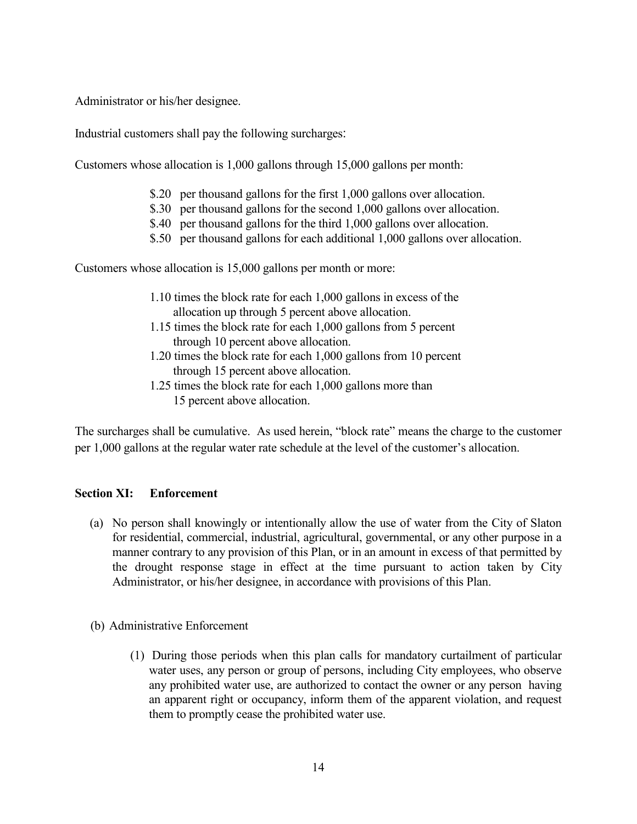Administrator or his/her designee.

Industrial customers shall pay the following surcharges:

Customers whose allocation is 1,000 gallons through 15,000 gallons per month:

- \$.20 per thousand gallons for the first 1,000 gallons over allocation.
- \$.30 per thousand gallons for the second 1,000 gallons over allocation.
- \$.40 per thousand gallons for the third 1,000 gallons over allocation.
- \$.50 per thousand gallons for each additional 1,000 gallons over allocation.

Customers whose allocation is 15,000 gallons per month or more:

- 1.10 times the block rate for each 1,000 gallons in excess of the allocation up through 5 percent above allocation.
- 1.15 times the block rate for each 1,000 gallons from 5 percent through 10 percent above allocation.
- 1.20 times the block rate for each 1,000 gallons from 10 percent through 15 percent above allocation.
- 1.25 times the block rate for each 1,000 gallons more than 15 percent above allocation.

The surcharges shall be cumulative. As used herein, "block rate" means the charge to the customer per 1,000 gallons at the regular water rate schedule at the level of the customer's allocation.

# Section XI: Enforcement

- (a) No person shall knowingly or intentionally allow the use of water from the City of Slaton for residential, commercial, industrial, agricultural, governmental, or any other purpose in a manner contrary to any provision of this Plan, or in an amount in excess of that permitted by the drought response stage in effect at the time pursuant to action taken by City Administrator, or his/her designee, in accordance with provisions of this Plan.
- (b) Administrative Enforcement
	- (1) During those periods when this plan calls for mandatory curtailment of particular water uses, any person or group of persons, including City employees, who observe any prohibited water use, are authorized to contact the owner or any person having an apparent right or occupancy, inform them of the apparent violation, and request them to promptly cease the prohibited water use.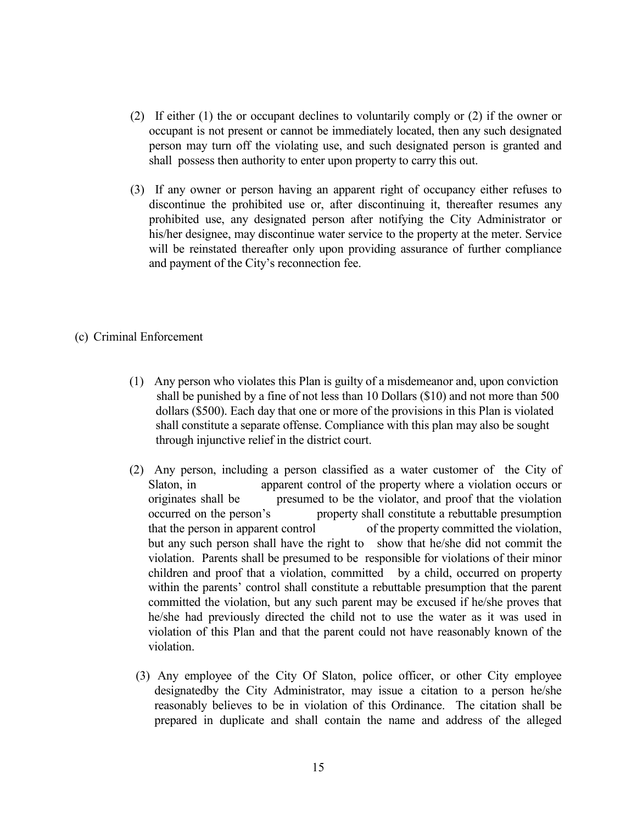- (2) If either (1) the or occupant declines to voluntarily comply or (2) if the owner or occupant is not present or cannot be immediately located, then any such designated person may turn off the violating use, and such designated person is granted and shall possess then authority to enter upon property to carry this out.
- (3) If any owner or person having an apparent right of occupancy either refuses to discontinue the prohibited use or, after discontinuing it, thereafter resumes any prohibited use, any designated person after notifying the City Administrator or his/her designee, may discontinue water service to the property at the meter. Service will be reinstated thereafter only upon providing assurance of further compliance and payment of the City's reconnection fee.
- (c) Criminal Enforcement
	- (1) Any person who violates this Plan is guilty of a misdemeanor and, upon conviction shall be punished by a fine of not less than 10 Dollars (\$10) and not more than 500 dollars (\$500). Each day that one or more of the provisions in this Plan is violated shall constitute a separate offense. Compliance with this plan may also be sought through injunctive relief in the district court.
	- (2) Any person, including a person classified as a water customer of the City of Slaton, in apparent control of the property where a violation occurs or originates shall be presumed to be the violator, and proof that the violation occurred on the person's property shall constitute a rebuttable presumption that the person in apparent control of the property committed the violation, but any such person shall have the right to show that he/she did not commit the violation. Parents shall be presumed to be responsible for violations of their minor children and proof that a violation, committed by a child, occurred on property within the parents' control shall constitute a rebuttable presumption that the parent committed the violation, but any such parent may be excused if he/she proves that he/she had previously directed the child not to use the water as it was used in violation of this Plan and that the parent could not have reasonably known of the violation.
		- (3) Any employee of the City Of Slaton, police officer, or other City employee designatedby the City Administrator, may issue a citation to a person he/she reasonably believes to be in violation of this Ordinance. The citation shall be prepared in duplicate and shall contain the name and address of the alleged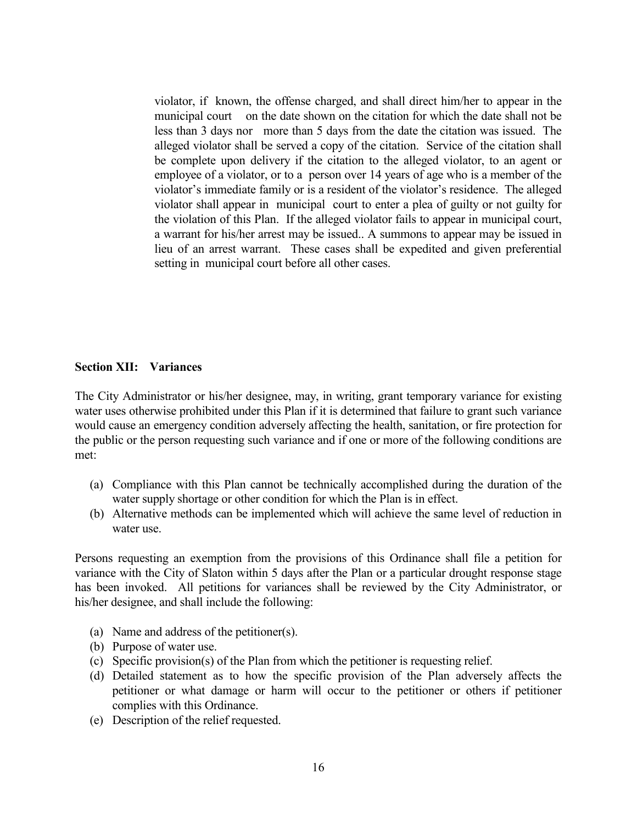violator, if known, the offense charged, and shall direct him/her to appear in the municipal court on the date shown on the citation for which the date shall not be less than 3 days nor more than 5 days from the date the citation was issued. The alleged violator shall be served a copy of the citation. Service of the citation shall be complete upon delivery if the citation to the alleged violator, to an agent or employee of a violator, or to a person over 14 years of age who is a member of the violator's immediate family or is a resident of the violator's residence. The alleged violator shall appear in municipal court to enter a plea of guilty or not guilty for the violation of this Plan. If the alleged violator fails to appear in municipal court, a warrant for his/her arrest may be issued.. A summons to appear may be issued in lieu of an arrest warrant. These cases shall be expedited and given preferential setting in municipal court before all other cases.

#### Section XII: Variances

The City Administrator or his/her designee, may, in writing, grant temporary variance for existing water uses otherwise prohibited under this Plan if it is determined that failure to grant such variance would cause an emergency condition adversely affecting the health, sanitation, or fire protection for the public or the person requesting such variance and if one or more of the following conditions are met:

- (a) Compliance with this Plan cannot be technically accomplished during the duration of the water supply shortage or other condition for which the Plan is in effect.
- (b) Alternative methods can be implemented which will achieve the same level of reduction in water use.

Persons requesting an exemption from the provisions of this Ordinance shall file a petition for variance with the City of Slaton within 5 days after the Plan or a particular drought response stage has been invoked. All petitions for variances shall be reviewed by the City Administrator, or his/her designee, and shall include the following:

- (a) Name and address of the petitioner(s).
- (b) Purpose of water use.
- (c) Specific provision(s) of the Plan from which the petitioner is requesting relief.
- (d) Detailed statement as to how the specific provision of the Plan adversely affects the petitioner or what damage or harm will occur to the petitioner or others if petitioner complies with this Ordinance.
- (e) Description of the relief requested.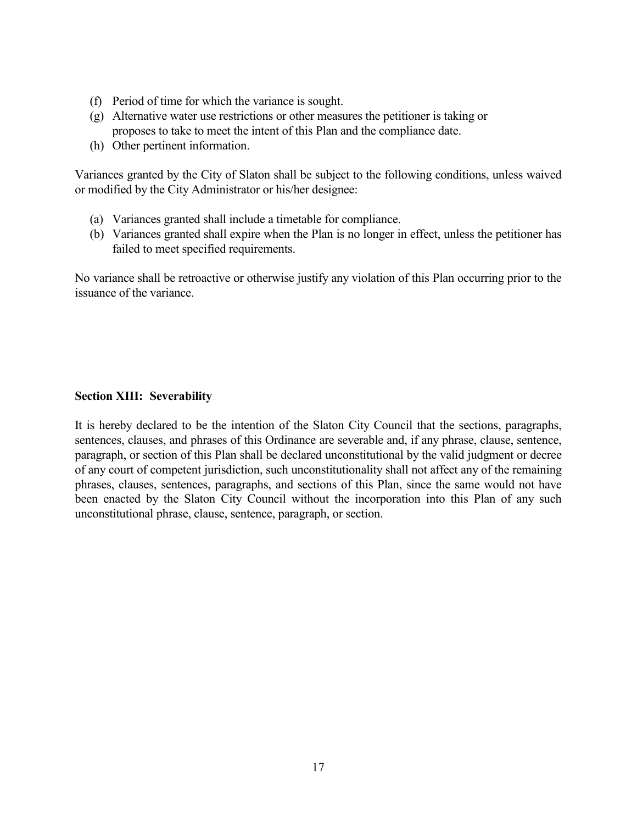- (f) Period of time for which the variance is sought.
- (g) Alternative water use restrictions or other measures the petitioner is taking or proposes to take to meet the intent of this Plan and the compliance date.
- (h) Other pertinent information.

Variances granted by the City of Slaton shall be subject to the following conditions, unless waived or modified by the City Administrator or his/her designee:

- (a) Variances granted shall include a timetable for compliance.
- (b) Variances granted shall expire when the Plan is no longer in effect, unless the petitioner has failed to meet specified requirements.

No variance shall be retroactive or otherwise justify any violation of this Plan occurring prior to the issuance of the variance.

# Section XIII: Severability

It is hereby declared to be the intention of the Slaton City Council that the sections, paragraphs, sentences, clauses, and phrases of this Ordinance are severable and, if any phrase, clause, sentence, paragraph, or section of this Plan shall be declared unconstitutional by the valid judgment or decree of any court of competent jurisdiction, such unconstitutionality shall not affect any of the remaining phrases, clauses, sentences, paragraphs, and sections of this Plan, since the same would not have been enacted by the Slaton City Council without the incorporation into this Plan of any such unconstitutional phrase, clause, sentence, paragraph, or section.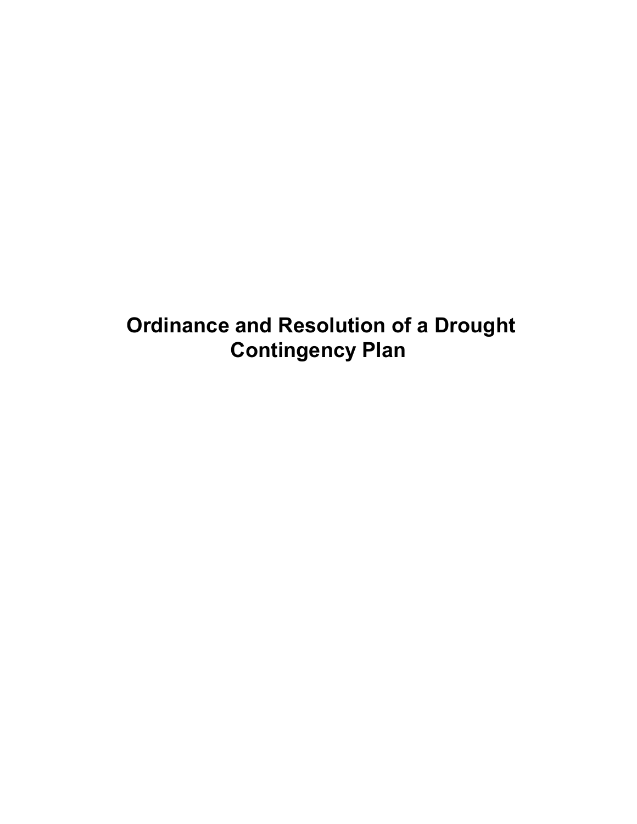Ordinance and Resolution of a Drought Contingency Plan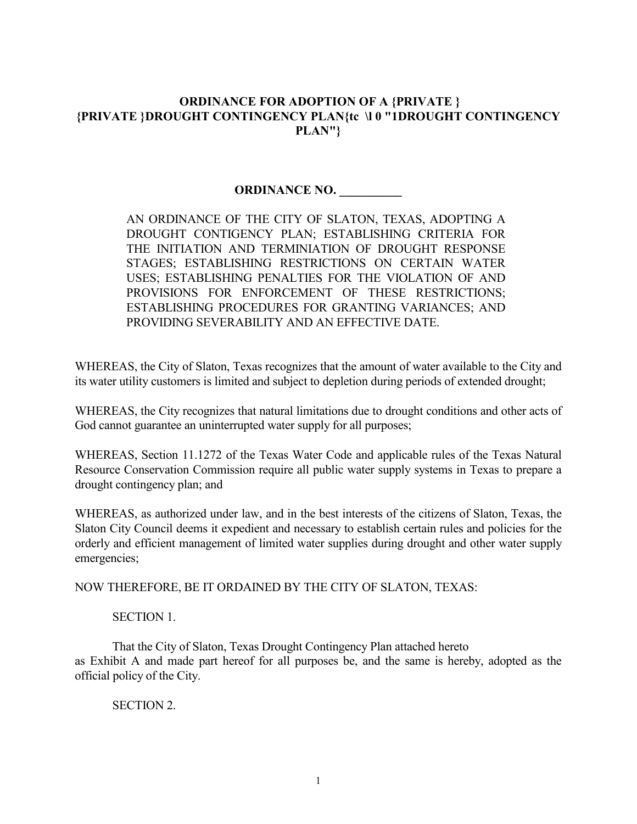# ORDINANCE FOR ADOPTION OF A {PRIVATE } {PRIVATE }DROUGHT CONTINGENCY PLAN{te \l 0 "1DROUGHT CONTINGENCY PLAN"}

# ORDINANCE NO.

AN ORDINANCE OF THE CITY OF SLATON, TEXAS, ADOPTING A DROUGHT CONTIGENCY PLAN; ESTABLISHING CRITERIA FOR THE INITIATION AND TERMINIATION OF DROUGHT RESPONSE STAGES; ESTABLISHING RESTRICTIONS ON CERTAIN WATER USES; ESTABLISHING PENALTIES FOR THE VIOLATION OF AND PROVISIONS FOR ENFORCEMENT OF THESE RESTRICTIONS; ESTABLISHING PROCEDURES FOR GRANTING VARIANCES; AND PROVIDING SEVERABILITY AND AN EFFECTIVE DATE.

WHEREAS, the City of Slaton, Texas recognizes that the amount of water available to the City and its water utility customers is limited and subject to depletion during periods of extended drought;

WHEREAS, the City recognizes that natural limitations due to drought conditions and other acts of God cannot guarantee an uninterrupted water supply for all purposes;

WHEREAS, Section 11.1272 of the Texas Water Code and applicable rules of the Texas Natural Resource Conservation Commission require all public water supply systems in Texas to prepare a drought contingency plan; and

WHEREAS, as authorized under law, and in the best interests of the citizens of Slaton, Texas, the Slaton City Council deems it expedient and necessary to establish certain rules and policies for the orderly and efficient management of limited water supplies during drought and other water supply emergencies;

NOW THEREFORE, BE IT ORDAINED BY THE CITY OF SLATON, TEXAS:

#### SECTION 1.

 That the City of Slaton, Texas Drought Contingency Plan attached hereto as Exhibit A and made part hereof for all purposes be, and the same is hereby, adopted as the official policy of the City.

SECTION 2.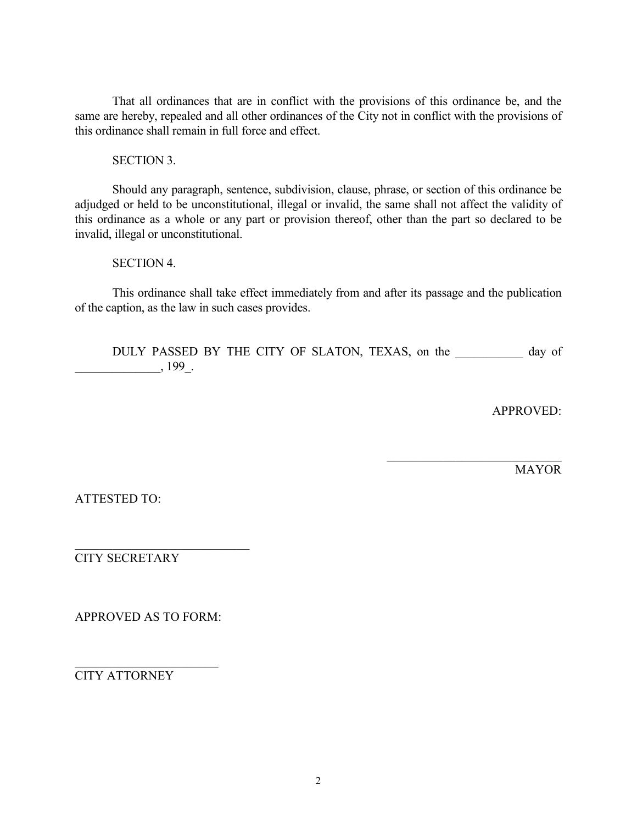That all ordinances that are in conflict with the provisions of this ordinance be, and the same are hereby, repealed and all other ordinances of the City not in conflict with the provisions of this ordinance shall remain in full force and effect.

SECTION 3.

 Should any paragraph, sentence, subdivision, clause, phrase, or section of this ordinance be adjudged or held to be unconstitutional, illegal or invalid, the same shall not affect the validity of this ordinance as a whole or any part or provision thereof, other than the part so declared to be invalid, illegal or unconstitutional.

SECTION 4.

 This ordinance shall take effect immediately from and after its passage and the publication of the caption, as the law in such cases provides.

 DULY PASSED BY THE CITY OF SLATON, TEXAS, on the \_\_\_\_\_\_\_\_\_\_\_ day of  $199$ .

APPROVED:

\_\_\_\_\_\_\_\_\_\_\_\_\_\_\_\_\_\_\_\_\_\_\_\_\_\_\_\_

MAYOR

ATTESTED TO:

CITY SECRETARY

APPROVED AS TO FORM:

\_\_\_\_\_\_\_\_\_\_\_\_\_\_\_\_\_\_\_\_\_\_\_\_\_\_\_\_

 $\overline{\phantom{a}}$  , which is a set of the set of the set of the set of the set of the set of the set of the set of the set of the set of the set of the set of the set of the set of the set of the set of the set of the set of th CITY ATTORNEY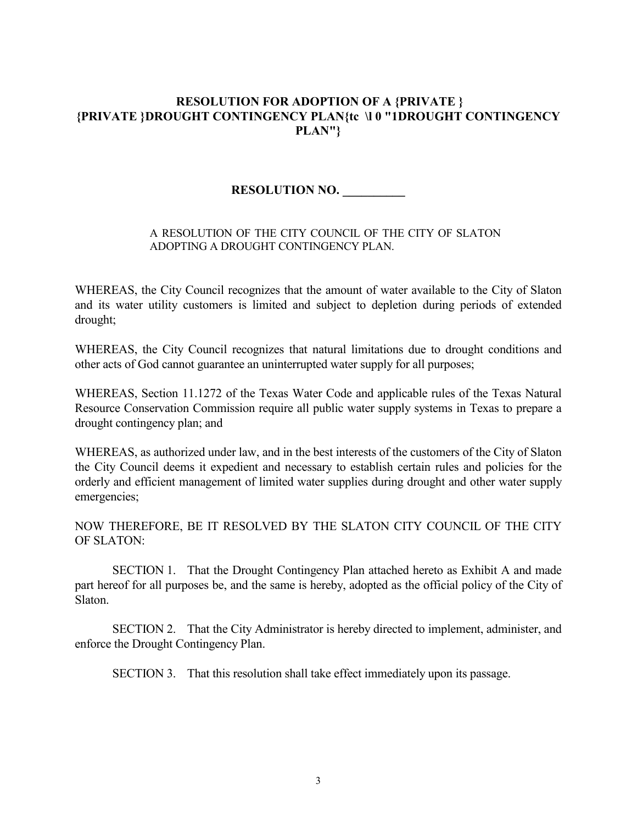# RESOLUTION FOR ADOPTION OF A {PRIVATE } {PRIVATE }DROUGHT CONTINGENCY PLAN{te \l 0 "1DROUGHT CONTINGENCY PLAN''}

# RESOLUTION NO. \_\_\_\_\_\_\_\_\_

#### A RESOLUTION OF THE CITY COUNCIL OF THE CITY OF SLATON ADOPTING A DROUGHT CONTINGENCY PLAN.

WHEREAS, the City Council recognizes that the amount of water available to the City of Slaton and its water utility customers is limited and subject to depletion during periods of extended drought;

WHEREAS, the City Council recognizes that natural limitations due to drought conditions and other acts of God cannot guarantee an uninterrupted water supply for all purposes;

WHEREAS, Section 11.1272 of the Texas Water Code and applicable rules of the Texas Natural Resource Conservation Commission require all public water supply systems in Texas to prepare a drought contingency plan; and

WHEREAS, as authorized under law, and in the best interests of the customers of the City of Slaton the City Council deems it expedient and necessary to establish certain rules and policies for the orderly and efficient management of limited water supplies during drought and other water supply emergencies;

NOW THEREFORE, BE IT RESOLVED BY THE SLATON CITY COUNCIL OF THE CITY OF SLATON:

 SECTION 1. That the Drought Contingency Plan attached hereto as Exhibit A and made part hereof for all purposes be, and the same is hereby, adopted as the official policy of the City of Slaton.

 SECTION 2. That the City Administrator is hereby directed to implement, administer, and enforce the Drought Contingency Plan.

SECTION 3. That this resolution shall take effect immediately upon its passage.